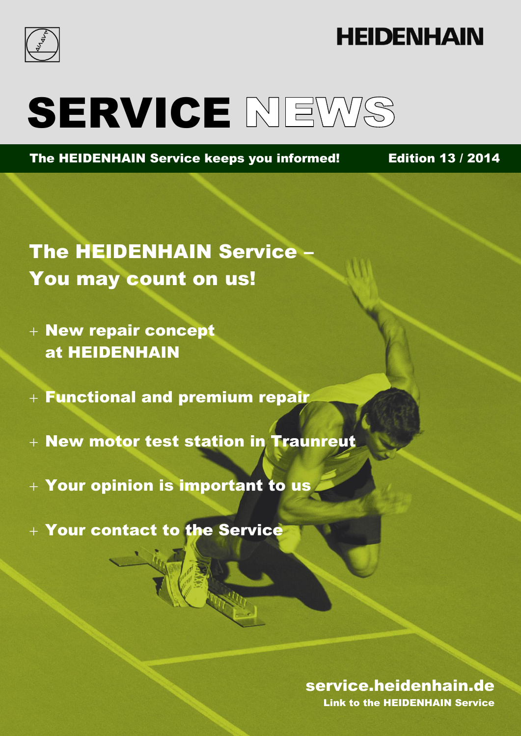

## **HEIDENHAIN**

# SERVICE NEWS

The HEIDENHAIN Service keeps you informed! Edition 13 / 2014

The HEIDENHAIN Service – You may count on us!

- New repair concept at HEIDENHAIN
- $+$  Functional and premium repair
- + New motor test station in Traunreut
- Your opinion is important to us
- Your contact to the Service

### Edition 13 / 2014 www.heidenhandel.com 2014 www.heidenhandel.com 2014 www.heidenhandel.com 2014 www.heidenhandel service.heidenhain.de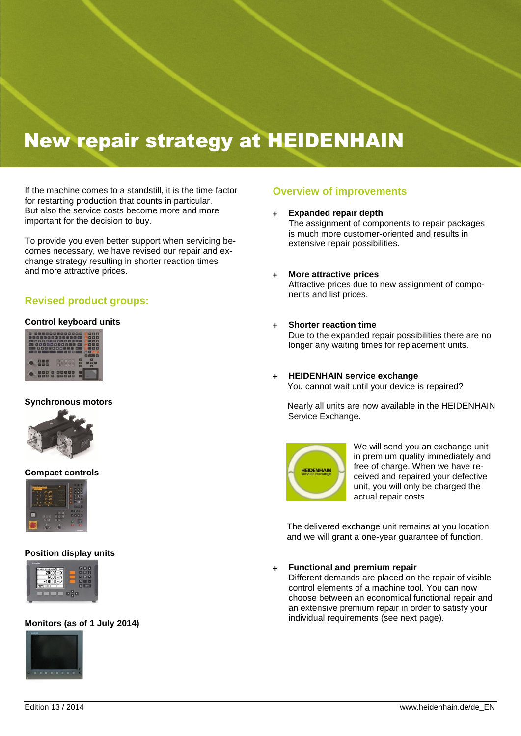## New repair strategy at HEIDENHAIN

If the machine comes to a standstill, it is the time factor for restarting production that counts in particular. But also the service costs become more and more important for the decision to buy.

To provide you even better support when servicing becomes necessary, we have revised our repair and exchange strategy resulting in shorter reaction times and more attractive prices.

#### **Revised product groups:**

#### **Control keyboard units**



#### **Synchronous motors**



#### **Compact controls**



#### **Position display units**



#### **Monitors (as of 1 July 2014)**



#### **Overview of improvements**

- **Expanded repair depth** The assignment of components to repair packages is much more customer-oriented and results in extensive repair possibilities.
- **More attractive prices** Attractive prices due to new assignment of components and list prices.

#### **Shorter reaction time**

Due to the expanded repair possibilities there are no longer any waiting times for replacement units.

 **HEIDENHAIN service exchange** You cannot wait until your device is repaired?

Nearly all units are now available in the HEIDENHAIN Service Exchange.



We will send you an exchange unit in premium quality immediately and free of charge. When we have received and repaired your defective unit, you will only be charged the actual repair costs.

The delivered exchange unit remains at you location and we will grant a one-year guarantee of function.

#### **Functional and premium repair**

Different demands are placed on the repair of visible control elements of a machine tool. You can now choose between an economical functional repair and an extensive premium repair in order to satisfy your individual requirements (see next page).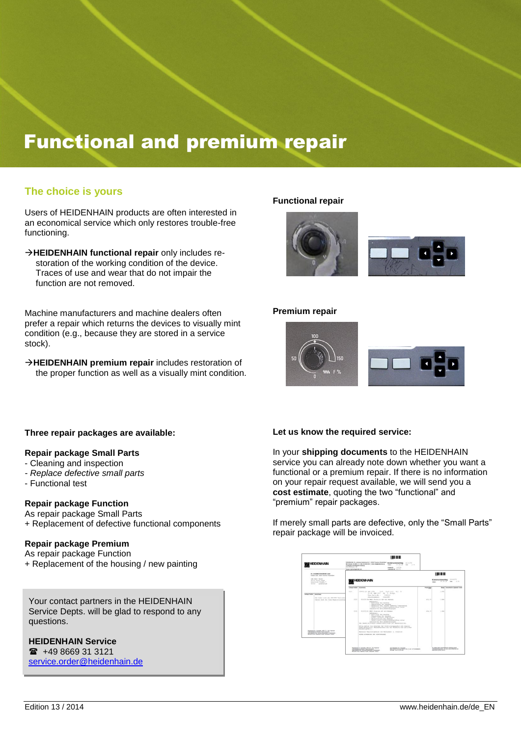## Functional and premium repair

#### **The choice is yours**

Users of HEIDENHAIN products are often interested in an economical service which only restores trouble-free functioning.

**HEIDENHAIN functional repair** only includes restoration of the working condition of the device. Traces of use and wear that do not impair the function are not removed.

Machine manufacturers and machine dealers often prefer a repair which returns the devices to visually mint condition (e.g., because they are stored in a service stock).

**HEIDENHAIN premium repair** includes restoration of the proper function as well as a visually mint condition.

#### **Functional repair**



#### **Premium repair**



#### **Three repair packages are available:**

#### **Repair package Small Parts**

- Cleaning and inspection
- *- Replace defective small parts*
- Functional test

#### **Repair package Function**

As repair package Small Parts + Replacement of defective functional components

#### **Repair package Premium**

As repair package Function + Replacement of the housing / new painting

Your contact partners in the HEIDENHAIN Service Depts. will be glad to respond to any questions.

#### **HEIDENHAIN Service**

 $\text{ }$  +49 8669 31 3121 [service.order@heidenhain.de](mailto:service.order@heidenhain.de)

#### **Let us know the required service:**

In your **shipping documents** to the HEIDENHAIN service you can already note down whether you want a functional or a premium repair. If there is no information on your repair request available, we will send you a **cost estimate**, quoting the two "functional" and "premium" repair packages.

If merely small parts are defective, only the "Small Parts" repair package will be invoiced.

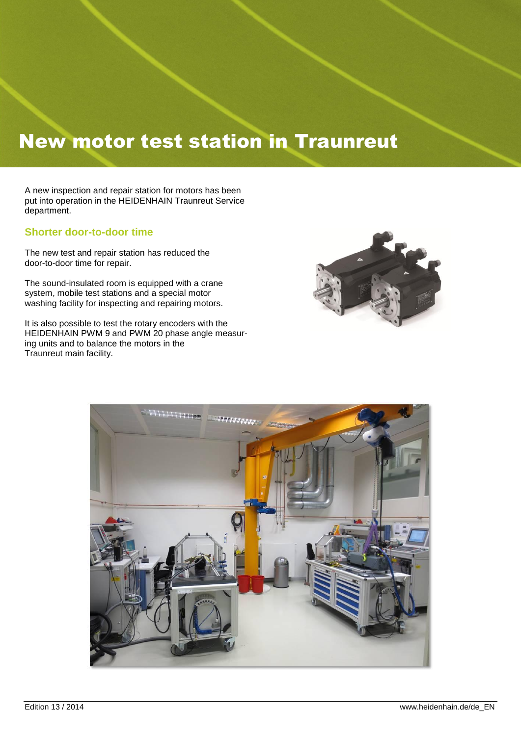## New motor test station in Traunreut

A new inspection and repair station for motors has been put into operation in the HEIDENHAIN Traunreut Service department.

#### **Shorter door-to-door time**

The new test and repair station has reduced the door-to-door time for repair.

The sound-insulated room is equipped with a crane system, mobile test stations and a special motor washing facility for inspecting and repairing motors.

It is also possible to test the rotary encoders with the HEIDENHAIN PWM 9 and PWM 20 phase angle measuring units and to balance the motors in the Traunreut main facility.